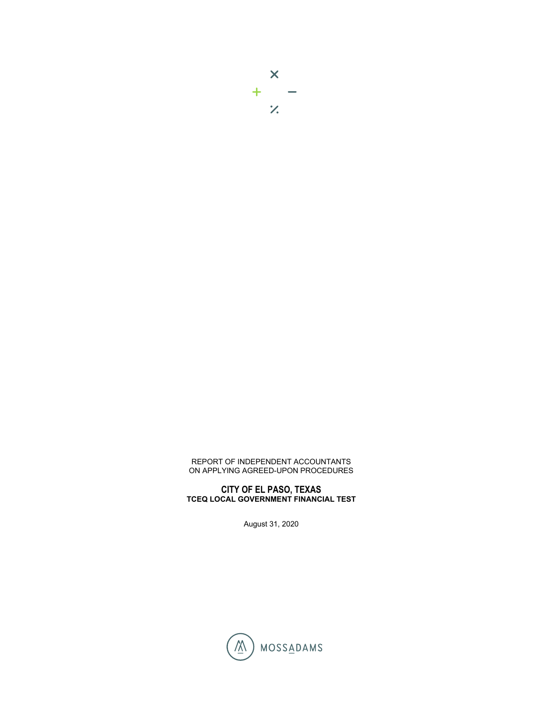## REPORT OF INDEPENDENT ACCOUNTANTS ON APPLYING AGREED-UPON PROCEDURES

## **CITY OF EL PASO, TEXAS TCEQ LOCAL GOVERNMENT FINANCIAL TEST**

August 31, 2020

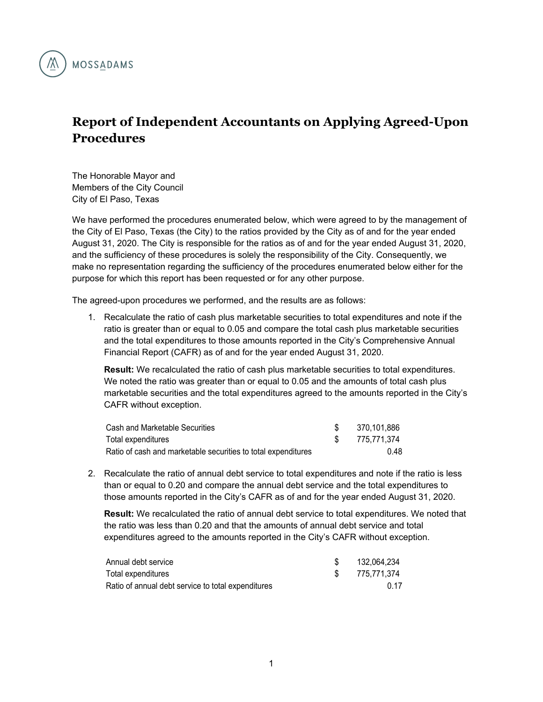

## **Report of Independent Accountants on Applying Agreed-Upon Procedures**

The Honorable Mayor and Members of the City Council City of El Paso, Texas

We have performed the procedures enumerated below, which were agreed to by the management of the City of El Paso, Texas (the City) to the ratios provided by the City as of and for the year ended August 31, 2020. The City is responsible for the ratios as of and for the year ended August 31, 2020, and the sufficiency of these procedures is solely the responsibility of the City. Consequently, we make no representation regarding the sufficiency of the procedures enumerated below either for the purpose for which this report has been requested or for any other purpose.

The agreed-upon procedures we performed, and the results are as follows:

1. Recalculate the ratio of cash plus marketable securities to total expenditures and note if the ratio is greater than or equal to 0.05 and compare the total cash plus marketable securities and the total expenditures to those amounts reported in the City's Comprehensive Annual Financial Report (CAFR) as of and for the year ended August 31, 2020.

**Result:** We recalculated the ratio of cash plus marketable securities to total expenditures. We noted the ratio was greater than or equal to 0.05 and the amounts of total cash plus marketable securities and the total expenditures agreed to the amounts reported in the City's CAFR without exception.

| Cash and Marketable Securities                                | 370.101.886 |
|---------------------------------------------------------------|-------------|
| Total expenditures                                            | 775.771.374 |
| Ratio of cash and marketable securities to total expenditures | 0.48        |

2. Recalculate the ratio of annual debt service to total expenditures and note if the ratio is less than or equal to 0.20 and compare the annual debt service and the total expenditures to those amounts reported in the City's CAFR as of and for the year ended August 31, 2020.

**Result:** We recalculated the ratio of annual debt service to total expenditures. We noted that the ratio was less than 0.20 and that the amounts of annual debt service and total expenditures agreed to the amounts reported in the City's CAFR without exception.

| Annual debt service                                | 132.064.234 |
|----------------------------------------------------|-------------|
| Total expenditures                                 | 775.771.374 |
| Ratio of annual debt service to total expenditures | 0.17        |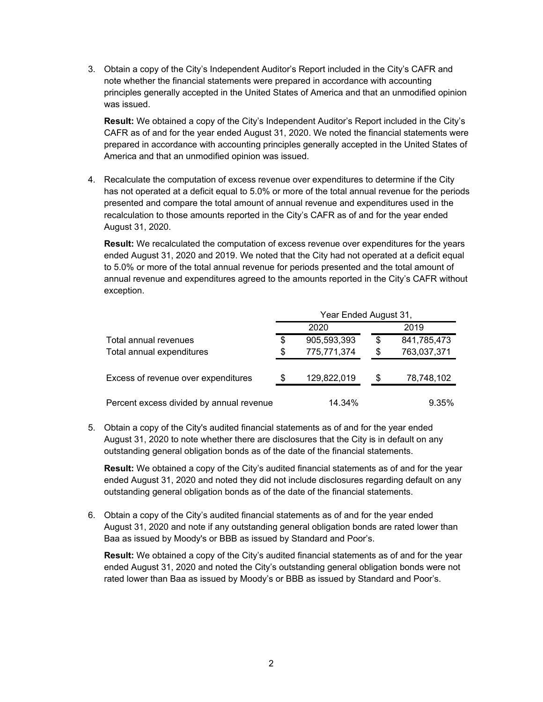3. Obtain a copy of the City's Independent Auditor's Report included in the City's CAFR and note whether the financial statements were prepared in accordance with accounting principles generally accepted in the United States of America and that an unmodified opinion was issued.

**Result:** We obtained a copy of the City's Independent Auditor's Report included in the City's CAFR as of and for the year ended August 31, 2020. We noted the financial statements were prepared in accordance with accounting principles generally accepted in the United States of America and that an unmodified opinion was issued.

4. Recalculate the computation of excess revenue over expenditures to determine if the City has not operated at a deficit equal to 5.0% or more of the total annual revenue for the periods presented and compare the total amount of annual revenue and expenditures used in the recalculation to those amounts reported in the City's CAFR as of and for the year ended August 31, 2020.

**Result:** We recalculated the computation of excess revenue over expenditures for the years ended August 31, 2020 and 2019. We noted that the City had not operated at a deficit equal to 5.0% or more of the total annual revenue for periods presented and the total amount of annual revenue and expenditures agreed to the amounts reported in the City's CAFR without exception.

|                                          | Year Ended August 31, |             |    |             |
|------------------------------------------|-----------------------|-------------|----|-------------|
|                                          |                       | 2020        |    | 2019        |
| Total annual revenues                    | \$                    | 905,593,393 | \$ | 841,785,473 |
| Total annual expenditures                | \$                    | 775,771,374 | \$ | 763,037,371 |
| Excess of revenue over expenditures      | S                     | 129,822,019 | \$ | 78,748,102  |
| Percent excess divided by annual revenue |                       | 14.34%      |    | 9.35%       |

5. Obtain a copy of the City's audited financial statements as of and for the year ended August 31, 2020 to note whether there are disclosures that the City is in default on any outstanding general obligation bonds as of the date of the financial statements.

**Result:** We obtained a copy of the City's audited financial statements as of and for the year ended August 31, 2020 and noted they did not include disclosures regarding default on any outstanding general obligation bonds as of the date of the financial statements.

6. Obtain a copy of the City's audited financial statements as of and for the year ended August 31, 2020 and note if any outstanding general obligation bonds are rated lower than Baa as issued by Moody's or BBB as issued by Standard and Poor's.

**Result:** We obtained a copy of the City's audited financial statements as of and for the year ended August 31, 2020 and noted the City's outstanding general obligation bonds were not rated lower than Baa as issued by Moody's or BBB as issued by Standard and Poor's.